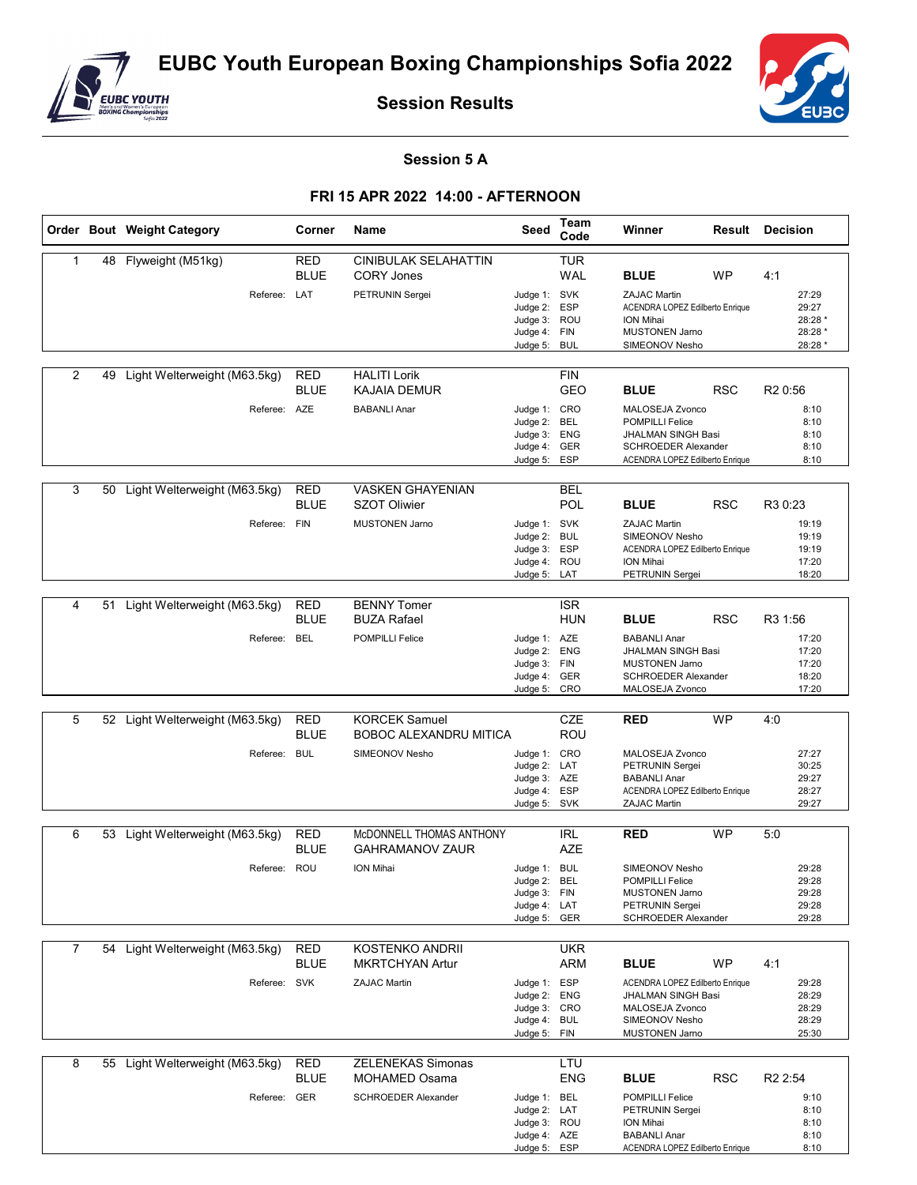

**Session Results**



## **Session 5 A**

## **FRI 15 APR 2022 14:00 - AFTERNOON**

|                |    | Order Bout Weight Category      | Corner                    | Name                       | Seed                         | Team<br>Code | Winner                                                        | <b>Result Decision</b> |
|----------------|----|---------------------------------|---------------------------|----------------------------|------------------------------|--------------|---------------------------------------------------------------|------------------------|
| 1              |    | 48 Flyweight (M51kg)            | RED                       | CINIBULAK SELAHATTIN       |                              | <b>TUR</b>   |                                                               |                        |
|                |    |                                 | <b>BLUE</b>               | <b>CORY Jones</b>          |                              | <b>WAL</b>   | <b>BLUE</b><br><b>WP</b>                                      | 4:1                    |
|                |    | Referee: LAT                    |                           | PETRUNIN Sergei            | Judge 1: SVK                 |              | <b>ZAJAC Martin</b>                                           | 27:29                  |
|                |    |                                 |                           |                            | Judge 2: ESP                 |              | ACENDRA LOPEZ Edilberto Enrique                               | 29:27                  |
|                |    |                                 |                           |                            | Judge 3: ROU                 |              | ION Mihai                                                     | 28:28 *                |
|                |    |                                 |                           |                            | Judge 4: FIN                 |              | MUSTONEN Jarno<br>SIMEONOV Nesho                              | 28:28 *<br>28:28 *     |
|                |    |                                 |                           |                            | Judge 5: BUL                 |              |                                                               |                        |
| 2              | 49 | Light Welterweight (M63.5kg)    | <b>RED</b>                | <b>HALITI Lorik</b>        |                              | <b>FIN</b>   |                                                               |                        |
|                |    |                                 | <b>BLUE</b>               | <b>KAJAIA DEMUR</b>        |                              | GEO          | <b>BLUE</b><br><b>RSC</b>                                     | R <sub>2</sub> 0:56    |
|                |    | Referee: AZE                    |                           | <b>BABANLI Anar</b>        | Judge 1: CRO                 |              | MALOSEJA Zvonco                                               | 8:10                   |
|                |    |                                 |                           |                            | Judge 2:                     | BEL          | <b>POMPILLI Felice</b>                                        | 8:10                   |
|                |    |                                 |                           |                            | Judge 3: ENG                 |              | JHALMAN SINGH Basi                                            | 8:10                   |
|                |    |                                 |                           |                            | Judge 4: GER<br>Judge 5: ESP |              | <b>SCHROEDER Alexander</b><br>ACENDRA LOPEZ Edilberto Enrique | 8:10<br>8:10           |
|                |    |                                 |                           |                            |                              |              |                                                               |                        |
| 3              | 50 | Light Welterweight (M63.5kg)    | <b>RED</b>                | <b>VASKEN GHAYENIAN</b>    |                              | <b>BEL</b>   |                                                               |                        |
|                |    |                                 | <b>BLUE</b>               | <b>SZOT Oliwier</b>        |                              | POL          | <b>RSC</b><br><b>BLUE</b>                                     | R3 0:23                |
|                |    | Referee:                        | <b>FIN</b>                | <b>MUSTONEN Jarno</b>      | Judge 1: SVK                 |              | <b>ZAJAC Martin</b>                                           | 19:19                  |
|                |    |                                 |                           |                            | Judge 2: BUL                 |              | SIMEONOV Nesho                                                | 19:19                  |
|                |    |                                 |                           |                            | Judge 3: ESP                 |              | ACENDRA LOPEZ Edilberto Enrique                               | 19:19                  |
|                |    |                                 |                           |                            | Judge 4: ROU                 |              | ION Mihai<br>PETRUNIN Sergei                                  | 17:20<br>18:20         |
|                |    |                                 |                           |                            | Judge 5: LAT                 |              |                                                               |                        |
| 4              | 51 | Light Welterweight (M63.5kg)    | <b>RED</b>                | <b>BENNY Tomer</b>         |                              | <b>ISR</b>   |                                                               |                        |
|                |    |                                 | <b>BLUE</b>               | <b>BUZA Rafael</b>         |                              | <b>HUN</b>   | <b>BLUE</b><br><b>RSC</b>                                     | R3 1:56                |
|                |    | Referee: BEL                    |                           | <b>POMPILLI Felice</b>     | Judge 1: AZE                 |              | <b>BABANLI Anar</b>                                           | 17:20                  |
|                |    |                                 |                           |                            | Judge 2:                     | <b>ENG</b>   | JHALMAN SINGH Basi                                            | 17:20                  |
|                |    |                                 |                           |                            | Judge 3: FIN                 |              | <b>MUSTONEN Jarno</b>                                         | 17:20                  |
|                |    |                                 |                           |                            | Judge 4: GER                 |              | SCHROEDER Alexander                                           | 18:20                  |
|                |    |                                 |                           |                            | Judge 5: CRO                 |              | MALOSEJA Zvonco                                               | 17:20                  |
| 5              | 52 | Light Welterweight (M63.5kg)    | <b>RED</b>                | <b>KORCEK Samuel</b>       |                              | <b>CZE</b>   | <b>WP</b><br><b>RED</b>                                       | 4:0                    |
|                |    |                                 | <b>BLUE</b>               | BOBOC ALEXANDRU MITICA     |                              | ROU          |                                                               |                        |
|                |    | Referee:                        | <b>BUL</b>                | SIMEONOV Nesho             | Judge 1: CRO                 |              | MALOSEJA Zvonco                                               | 27:27                  |
|                |    |                                 |                           |                            | Judge 2: LAT                 |              | PETRUNIN Sergei                                               | 30:25                  |
|                |    |                                 |                           |                            | Judge 3: AZE                 |              | <b>BABANLI Anar</b>                                           | 29:27                  |
|                |    |                                 |                           |                            | Judge 4: ESP                 |              | ACENDRA LOPEZ Edilberto Enrique                               | 28:27                  |
|                |    |                                 |                           |                            | Judge 5: SVK                 |              | ZAJAC Martin                                                  | 29:27                  |
| 6              |    | 53 Light Welterweight (M63.5kg) | <b>RED</b>                | McDONNELL THOMAS ANTHONY   |                              | <b>IRL</b>   | <b>RED</b><br><b>WP</b>                                       | 5:0                    |
|                |    |                                 | <b>BLUE</b>               | <b>GAHRAMANOV ZAUR</b>     |                              | <b>AZE</b>   |                                                               |                        |
|                |    |                                 |                           |                            |                              |              |                                                               |                        |
|                |    | Referee: ROU                    |                           | ION Mihai                  | Judge 1: BUL<br>Judge 2:     | <b>BEL</b>   | SIMEONOV Nesho<br><b>POMPILLI Felice</b>                      | 29:28<br>29:28         |
|                |    |                                 |                           |                            | Judge 3: FIN                 |              | MUSTONEN Jarno                                                | 29:28                  |
|                |    |                                 |                           |                            | Judge 4: LAT                 |              | PETRUNIN Sergei                                               | 29:28                  |
|                |    |                                 |                           |                            | Judge 5: GER                 |              | SCHROEDER Alexander                                           | 29:28                  |
|                |    |                                 |                           |                            |                              |              |                                                               |                        |
| $\overline{7}$ | 54 | Light Welterweight (M63.5kg)    | <b>RED</b><br><b>BLUE</b> | KOSTENKO ANDRII            |                              | <b>UKR</b>   | <b>WP</b>                                                     |                        |
|                |    |                                 |                           | <b>MKRTCHYAN Artur</b>     |                              | ARM          | <b>BLUE</b>                                                   | 4:1                    |
|                |    | Referee: SVK                    |                           | <b>ZAJAC Martin</b>        | Judge 1: ESP                 |              | ACENDRA LOPEZ Edilberto Enrique                               | 29:28                  |
|                |    |                                 |                           |                            | Judge 2: ENG<br>Judge 3: CRO |              | JHALMAN SINGH Basi<br>MALOSEJA Zvonco                         | 28:29<br>28:29         |
|                |    |                                 |                           |                            | Judge 4: BUL                 |              | SIMEONOV Nesho                                                | 28:29                  |
|                |    |                                 |                           |                            | Judge 5: FIN                 |              | <b>MUSTONEN Jarno</b>                                         | 25:30                  |
|                |    |                                 |                           |                            |                              |              |                                                               |                        |
| 8              |    | 55 Light Welterweight (M63.5kg) | <b>RED</b>                | <b>ZELENEKAS Simonas</b>   |                              | LTU          |                                                               |                        |
|                |    |                                 | <b>BLUE</b>               | <b>MOHAMED Osama</b>       |                              | <b>ENG</b>   | <b>BLUE</b><br><b>RSC</b>                                     | R <sub>2</sub> 2:54    |
|                |    | Referee: GER                    |                           | <b>SCHROEDER Alexander</b> | Judge 1: BEL                 |              | <b>POMPILLI Felice</b>                                        | 9:10                   |
|                |    |                                 |                           |                            | Judge 2: LAT                 |              | PETRUNIN Sergei                                               | 8:10                   |
|                |    |                                 |                           |                            | Judge 3: ROU<br>Judge 4: AZE |              | ION Mihai<br><b>BABANLI Anar</b>                              | 8:10<br>8:10           |
|                |    |                                 |                           |                            | Judge 5: ESP                 |              | ACENDRA LOPEZ Edilberto Enrique                               | 8:10                   |